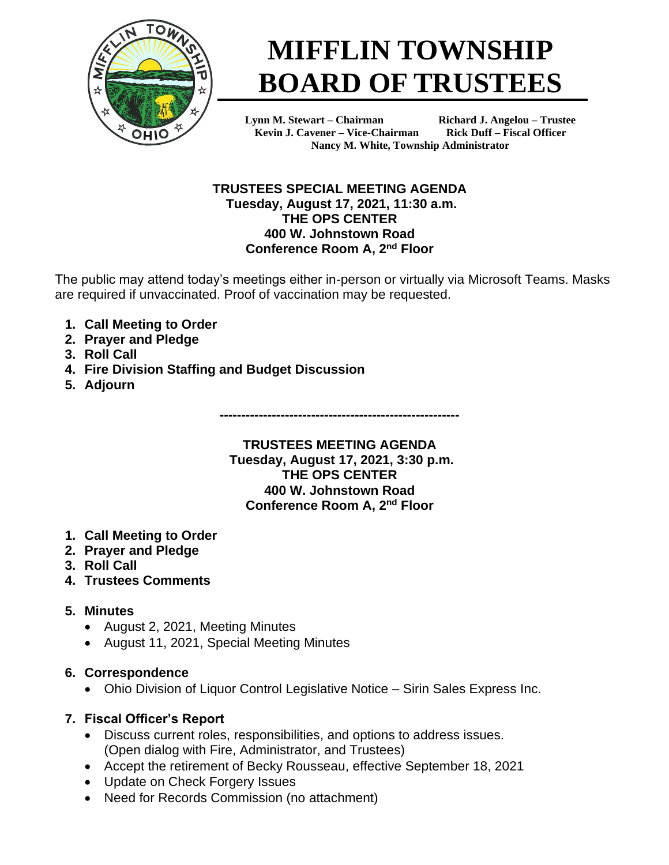

# **MIFFLIN TOWNSHIP BOARD OF TRUSTEES**

**Lynn M. Stewart – Chairman Richard J. Angelou – Trustee Kevin J. Cavener – Vice-Chairman Rick Duff – Fiscal Officer Nancy M. White, Township Administrator**

#### **TRUSTEES SPECIAL MEETING AGENDA Tuesday, August 17, 2021, 11:30 a.m. THE OPS CENTER 400 W. Johnstown Road Conference Room A, 2nd Floor**

The public may attend today's meetings either in-person or virtually via Microsoft Teams. Masks are required if unvaccinated. Proof of vaccination may be requested.

- **1. Call Meeting to Order**
- **2. Prayer and Pledge**
- **3. Roll Call**
- **4. Fire Division Staffing and Budget Discussion**
- **5. Adjourn**

**-------------------------------------------------------**

#### **TRUSTEES MEETING AGENDA Tuesday, August 17, 2021, 3:30 p.m. THE OPS CENTER 400 W. Johnstown Road Conference Room A, 2nd Floor**

- **1. Call Meeting to Order**
- **2. Prayer and Pledge**
- **3. Roll Call**
- **4. Trustees Comments**

# **5. Minutes**

- August 2, 2021, Meeting Minutes
- August 11, 2021, Special Meeting Minutes

# **6. Correspondence**

• Ohio Division of Liquor Control Legislative Notice – Sirin Sales Express Inc.

# **7. Fiscal Officer's Report**

- Discuss current roles, responsibilities, and options to address issues. (Open dialog with Fire, Administrator, and Trustees)
- Accept the retirement of Becky Rousseau, effective September 18, 2021
- Update on Check Forgery Issues
- Need for Records Commission (no attachment)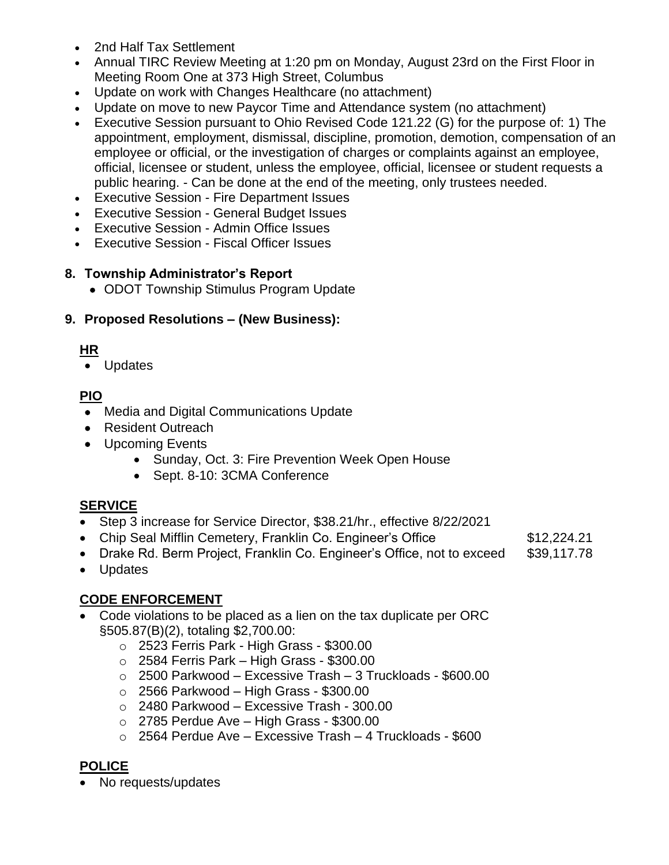- 2nd Half Tax Settlement
- Annual TIRC Review Meeting at 1:20 pm on Monday, August 23rd on the First Floor in Meeting Room One at 373 High Street, Columbus
- Update on work with Changes Healthcare (no attachment)
- Update on move to new Paycor Time and Attendance system (no attachment)
- Executive Session pursuant to Ohio Revised Code 121.22 (G) for the purpose of: 1) The appointment, employment, dismissal, discipline, promotion, demotion, compensation of an employee or official, or the investigation of charges or complaints against an employee, official, licensee or student, unless the employee, official, licensee or student requests a public hearing. - Can be done at the end of the meeting, only trustees needed.
- Executive Session Fire Department Issues
- Executive Session General Budget Issues
- Executive Session Admin Office Issues
- Executive Session Fiscal Officer Issues

#### **8. Township Administrator's Report**

• ODOT Township Stimulus Program Update

### **9. Proposed Resolutions – (New Business):**

### **HR**

• Updates

### **PIO**

- Media and Digital Communications Update
- Resident Outreach
- Upcoming Events
	- Sunday, Oct. 3: Fire Prevention Week Open House
	- Sept. 8-10: 3CMA Conference

### **SERVICE**

- Step 3 increase for Service Director, \$38.21/hr., effective 8/22/2021
- Chip Seal Mifflin Cemetery, Franklin Co. Engineer's Office \$12,224.21
- Drake Rd. Berm Project, Franklin Co. Engineer's Office, not to exceed \$39,117.78
- Updates

### **CODE ENFORCEMENT**

- Code violations to be placed as a lien on the tax duplicate per ORC §505.87(B)(2), totaling \$2,700.00:
	- o 2523 Ferris Park High Grass \$300.00
	- $\circ$  2584 Ferris Park High Grass \$300.00
	- o 2500 Parkwood Excessive Trash 3 Truckloads \$600.00
	- $\circ$  2566 Parkwood High Grass \$300.00
	- o 2480 Parkwood Excessive Trash 300.00
	- $\circ$  2785 Perdue Ave High Grass \$300.00
	- o 2564 Perdue Ave Excessive Trash 4 Truckloads \$600

# **POLICE**

• No requests/updates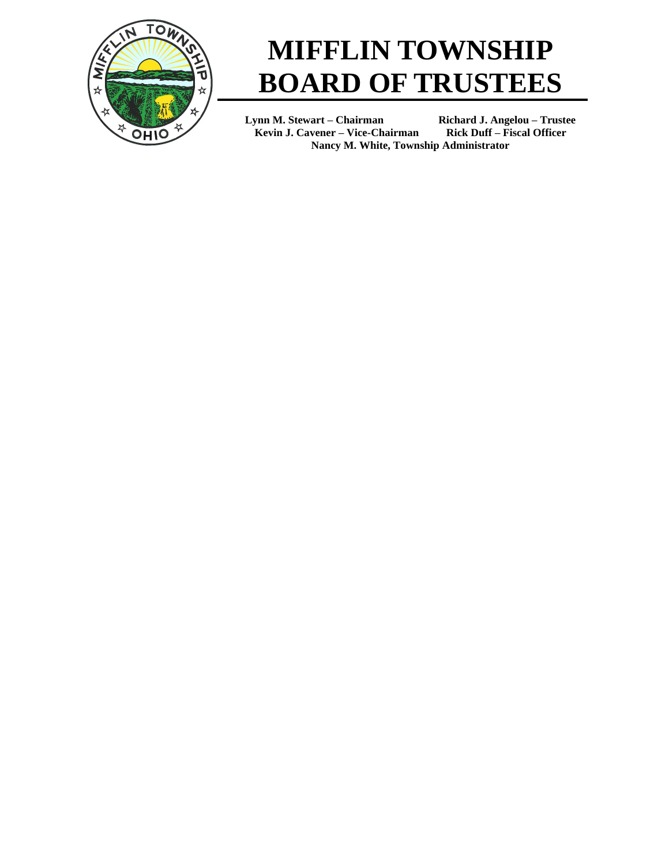

# **MIFFLIN TOWNSHIP BOARD OF TRUSTEES**

**Lynn M. Stewart – Chairman Richard J. Angelou – Trustee Kevin J. Cavener – Vice-Chairman Rick Duff – Fiscal Officer Nancy M. White, Township Administrator**